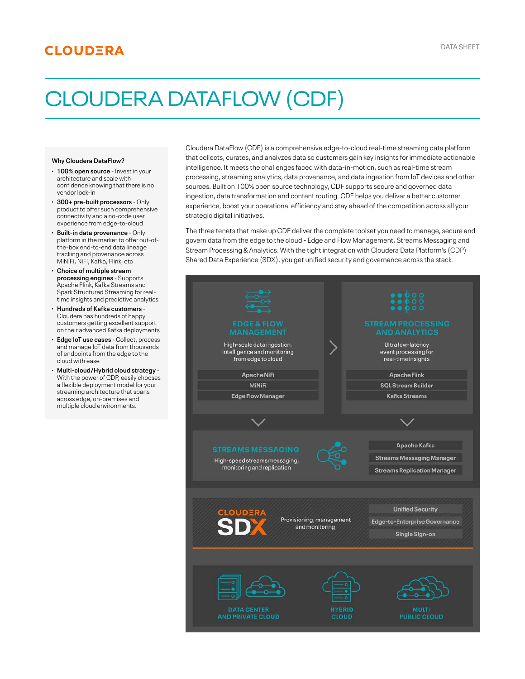# **CLOUDERA**

# CLOUDERA DATAFLOW (CDF)

#### **Why Cloudera DataFlow?**

- **100% open source**  Invest in your · architecture and scale with confidence knowing that there is no vendor lock-in
- **300+ pre-built processors** Only · product to offer such comprehensive connectivity and a no-code user experience from edge-to-cloud
- **Built-in data provenance** Only · platform in the market to offer out-ofthe-box end-to-end data lineage tracking and provenance across MiNiFi, NiFi, Kafka, Flink, etc
- **Choice of multiple stream** · **processing engines** - Supports Apache Flink, Kafka Streams and Spark Structured Streaming for realtime insights and predictive analytics
- **Hundreds of Kafka customers** · Cloudera has hundreds of happy customers getting excellent support on their advanced Kafka deployments
- **Edge IoT use cases** Collect, process · and manage IoT data from thousands of endpoints from the edge to the cloud with ease
- **Multi-cloud/Hybrid cloud strategy** ·With the power of CDP, easily chooses a flexible deployment model for your streaming architecture that spans across edge, on-premises and multiple cloud environments.

Cloudera DataFlow (CDF) is a comprehensive edge-to-cloud real-time streaming data platform that collects, curates, and analyzes data so customers gain key insights for immediate actionable intelligence. It meets the challenges faced with data-in-motion, such as real-time stream processing, streaming analytics, data provenance, and data ingestion from IoT devices and other sources. Built on 100% open source technology, CDF supports secure and governed data ingestion, data transformation and content routing. CDF helps you deliver a better customer experience, boost your operational efficiency and stay ahead of the competition across all your strategic digital initiatives.

The three tenets that make up CDF deliver the complete toolset you need to manage, secure and govern data from the edge to the cloud - Edge and Flow Management, Streams Messaging and Stream Processing & Analytics. With the tight integration with Cloudera Data Platform's (CDP) Shared Data Experience (SDX), you get unified security and governance across the stack.

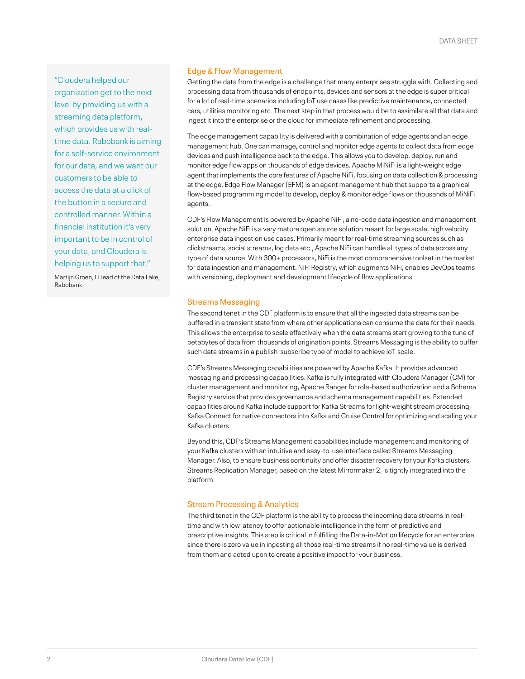"Cloudera helped our organization get to the next level by providing us with a streaming data platform, which provides us with realtime data. Rabobank is aiming for a self-service environment for our data, and we want our customers to be able to access the data at a click of the button in a secure and controlled manner. Within a financial institution it's very important to be in control of your data, and Cloudera is helping us to support that."

Martijn Groen, IT lead of the Data Lake, Rabobank

## Edge & Flow Management

Getting the data from the edge is a challenge that many enterprises struggle with. Collecting and processing data from thousands of endpoints, devices and sensors at the edge is super critical for a lot of real-time scenarios including IoT use cases like predictive maintenance, connected cars, utilities monitoring etc. The next step in that process would be to assimilate all that data and ingest it into the enterprise or the cloud for immediate refinement and processing.

The edge management capability is delivered with a combination of edge agents and an edge management hub. One can manage, control and monitor edge agents to collect data from edge devices and push intelligence back to the edge. This allows you to develop, deploy, run and monitor edge flow apps on thousands of edge devices. Apache MiNiFi is a light-weight edge agent that implements the core features of Apache NiFi, focusing on data collection & processing at the edge. Edge Flow Manager (EFM) is an agent management hub that supports a graphical flow-based programming model to develop, deploy & monitor edge flows on thousands of MiNiFi agents.

CDF's Flow Management is powered by Apache NiFi, a no-code data ingestion and management solution. Apache NiFi is a very mature open source solution meant for large scale, high velocity enterprise data ingestion use cases. Primarily meant for real-time streaming sources such as clickstreams, social streams, log data etc., Apache NiFi can handle all types of data across any type of data source. With 300+ processors, NiFi is the most comprehensive toolset in the market for data ingestion and management. NiFi Registry, which augments NiFi, enables DevOps teams with versioning, deployment and development lifecycle of flow applications.

# Streams Messaging

The second tenet in the CDF platform is to ensure that all the ingested data streams can be buffered in a transient state from where other applications can consume the data for their needs. This allows the enterprise to scale effectively when the data streams start growing to the tune of petabytes of data from thousands of origination points. Streams Messaging is the ability to buffer such data streams in a publish-subscribe type of model to achieve IoT-scale.

CDF's Streams Messaging capabilities are powered by Apache Kafka. It provides advanced messaging and processing capabilities. Kafka is fully integrated with Cloudera Manager (CM) for cluster management and monitoring, Apache Ranger for role-based authorization and a Schema Registry service that provides governance and schema management capabilities. Extended capabilities around Kafka include support for Kafka Streams for light-weight stream processing, Kafka Connect for native connectors into Kafka and Cruise Control for optimizing and scaling your Kafka clusters.

Beyond this, CDF's Streams Management capabilities include management and monitoring of your Kafka clusters with an intuitive and easy-to-use interface called Streams Messaging Manager. Also, to ensure business continuity and offer disaster recovery for your Kafka clusters, Streams Replication Manager, based on the latest Mirrormaker 2, is tightly integrated into the platform.

# Stream Processing & Analytics

The third tenet in the CDF platform is the ability to process the incoming data streams in realtime and with low latency to offer actionable intelligence in the form of predictive and prescriptive insights. This step is critical in fulfilling the Data-in-Motion lifecycle for an enterprise since there is zero value in ingesting all those real-time streams if no real-time value is derived from them and acted upon to create a positive impact for your business.